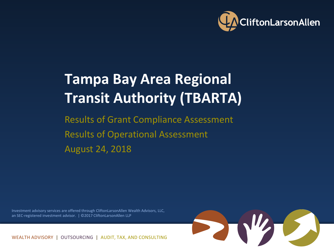

## **Tampa Bay Area Regional Transit Authority (TBARTA)**

Results of Grant Compliance Assessment Results of Operational Assessment August 24, 2018

Investment advisory services are offered through CliftonLarsonAllen Wealth Advisors, LLC, an SEC-registered investment advisor. | @2017 CliftonLarsonAllen LLP



WEALTH ADVISORY | OUTSOURCING | AUDIT, TAX, AND CONSULTING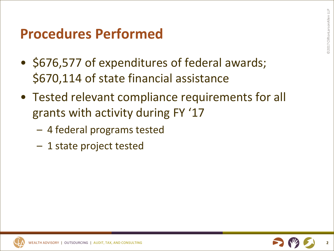#### **Procedures Performed**

- \$676,577 of expenditures of federal awards; \$670,114 of state financial assistance
- Tested relevant compliance requirements for all grants with activity during FY '17
	- 4 federal programs tested
	- 1 state project tested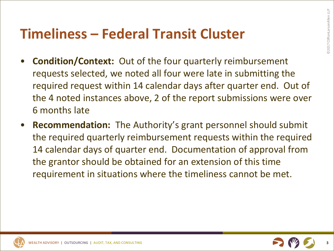## **Timeliness – Federal Transit Cluster**

- **Condition/Context:** Out of the four quarterly reimbursement requests selected, we noted all four were late in submitting the required request within 14 calendar days after quarter end. Out of the 4 noted instances above, 2 of the report submissions were over 6 months late
- **Recommendation:** The Authority's grant personnel should submit the required quarterly reimbursement requests within the required 14 calendar days of quarter end. Documentation of approval from the grantor should be obtained for an extension of this time requirement in situations where the timeliness cannot be met.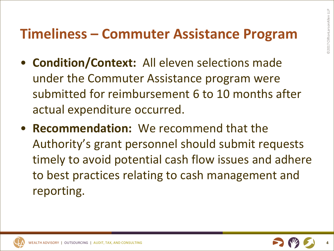## **Timeliness – Commuter Assistance Program**

- **Condition/Context:** All eleven selections made under the Commuter Assistance program were submitted for reimbursement 6 to 10 months after actual expenditure occurred.
- **Recommendation:** We recommend that the Authority's grant personnel should submit requests timely to avoid potential cash flow issues and adhere to best practices relating to cash management and reporting.

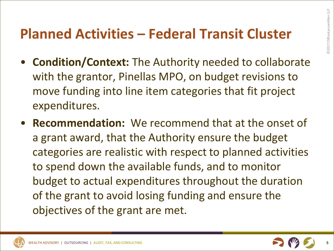## **Planned Activities – Federal Transit Cluster**

- **Condition/Context:** The Authority needed to collaborate with the grantor, Pinellas MPO, on budget revisions to move funding into line item categories that fit project expenditures.
- **Recommendation:** We recommend that at the onset of a grant award, that the Authority ensure the budget categories are realistic with respect to planned activities to spend down the available funds, and to monitor budget to actual expenditures throughout the duration of the grant to avoid losing funding and ensure the objectives of the grant are met.

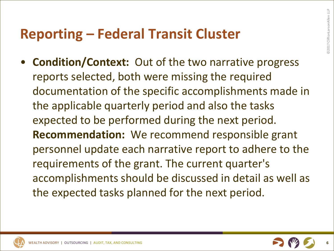## **Reporting – Federal Transit Cluster**

• **Condition/Context:** Out of the two narrative progress reports selected, both were missing the required documentation of the specific accomplishments made in the applicable quarterly period and also the tasks expected to be performed during the next period. **Recommendation:** We recommend responsible grant personnel update each narrative report to adhere to the requirements of the grant. The current quarter's accomplishments should be discussed in detail as well as the expected tasks planned for the next period.

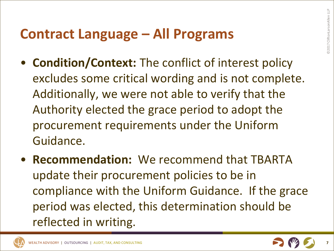### **Contract Language – All Programs**

- **Condition/Context:** The conflict of interest policy excludes some critical wording and is not complete. Additionally, we were not able to verify that the Authority elected the grace period to adopt the procurement requirements under the Uniform Guidance.
- **Recommendation:** We recommend that TBARTA update their procurement policies to be in compliance with the Uniform Guidance. If the grace period was elected, this determination should be reflected in writing.

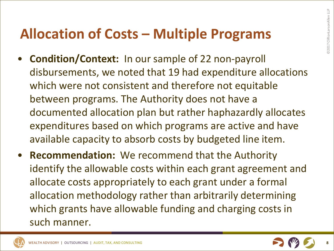## **Allocation of Costs – Multiple Programs**

- **Condition/Context:** In our sample of 22 non-payroll disbursements, we noted that 19 had expenditure allocations which were not consistent and therefore not equitable between programs. The Authority does not have a documented allocation plan but rather haphazardly allocates expenditures based on which programs are active and have available capacity to absorb costs by budgeted line item.
- **Recommendation:** We recommend that the Authority identify the allowable costs within each grant agreement and allocate costs appropriately to each grant under a formal allocation methodology rather than arbitrarily determining which grants have allowable funding and charging costs in such manner.

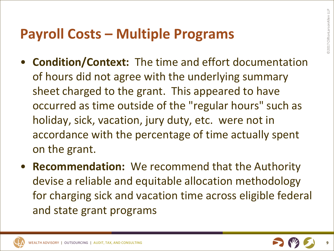## **Payroll Costs – Multiple Programs**

- **Condition/Context:** The time and effort documentation of hours did not agree with the underlying summary sheet charged to the grant. This appeared to have occurred as time outside of the "regular hours" such as holiday, sick, vacation, jury duty, etc. were not in accordance with the percentage of time actually spent on the grant.
- **Recommendation:** We recommend that the Authority devise a reliable and equitable allocation methodology for charging sick and vacation time across eligible federal and state grant programs

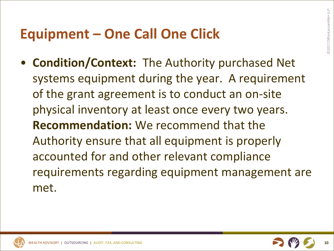## **Equipment – One Call One Click**

• **Condition/Context:** The Authority purchased Net systems equipment during the year. A requirement of the grant agreement is to conduct an on-site physical inventory at least once every two years. **Recommendation:** We recommend that the Authority ensure that all equipment is properly accounted for and other relevant compliance requirements regarding equipment management are met.

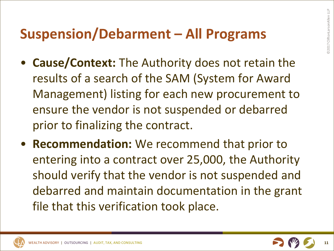### **Suspension/Debarment – All Programs**

- **Cause/Context:** The Authority does not retain the results of a search of the SAM (System for Award Management) listing for each new procurement to ensure the vendor is not suspended or debarred prior to finalizing the contract.
- **Recommendation:** We recommend that prior to entering into a contract over 25,000, the Authority should verify that the vendor is not suspended and debarred and maintain documentation in the grant file that this verification took place.



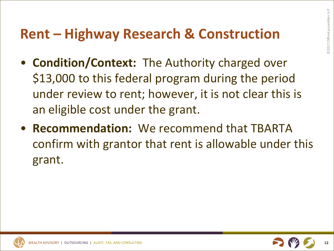#### **Rent – Highway Research & Construction**

- **Condition/Context:** The Authority charged over \$13,000 to this federal program during the period under review to rent; however, it is not clear this is an eligible cost under the grant.
- **Recommendation:** We recommend that TBARTA confirm with grantor that rent is allowable under this grant.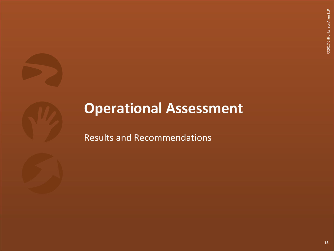

# **Operational Assessment**

Results and Recommendations

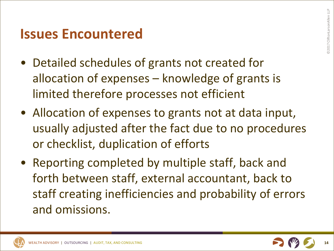#### **Issues Encountered**

- Detailed schedules of grants not created for allocation of expenses – knowledge of grants is limited therefore processes not efficient
- Allocation of expenses to grants not at data input, usually adjusted after the fact due to no procedures or checklist, duplication of efforts
- Reporting completed by multiple staff, back and forth between staff, external accountant, back to staff creating inefficiencies and probability of errors and omissions.

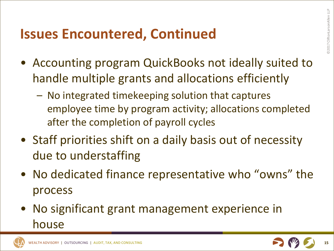## **Issues Encountered, Continued**

- Accounting program QuickBooks not ideally suited to handle multiple grants and allocations efficiently
	- No integrated timekeeping solution that captures employee time by program activity; allocations completed after the completion of payroll cycles
- Staff priorities shift on a daily basis out of necessity due to understaffing
- No dedicated finance representative who "owns" the process
- No significant grant management experience in house



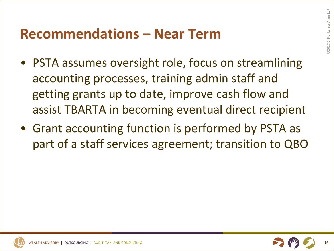#### **Recommendations – Near Term**

- PSTA assumes oversight role, focus on streamlining accounting processes, training admin staff and getting grants up to date, improve cash flow and assist TBARTA in becoming eventual direct recipient
- Grant accounting function is performed by PSTA as part of a staff services agreement; transition to QBO

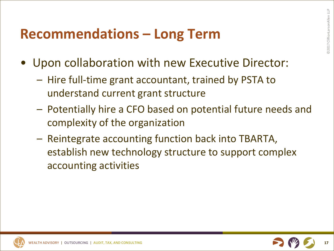### **Recommendations – Long Term**

- Upon collaboration with new Executive Director:
	- Hire full-time grant accountant, trained by PSTA to understand current grant structure
	- Potentially hire a CFO based on potential future needs and complexity of the organization
	- Reintegrate accounting function back into TBARTA, establish new technology structure to support complex accounting activities